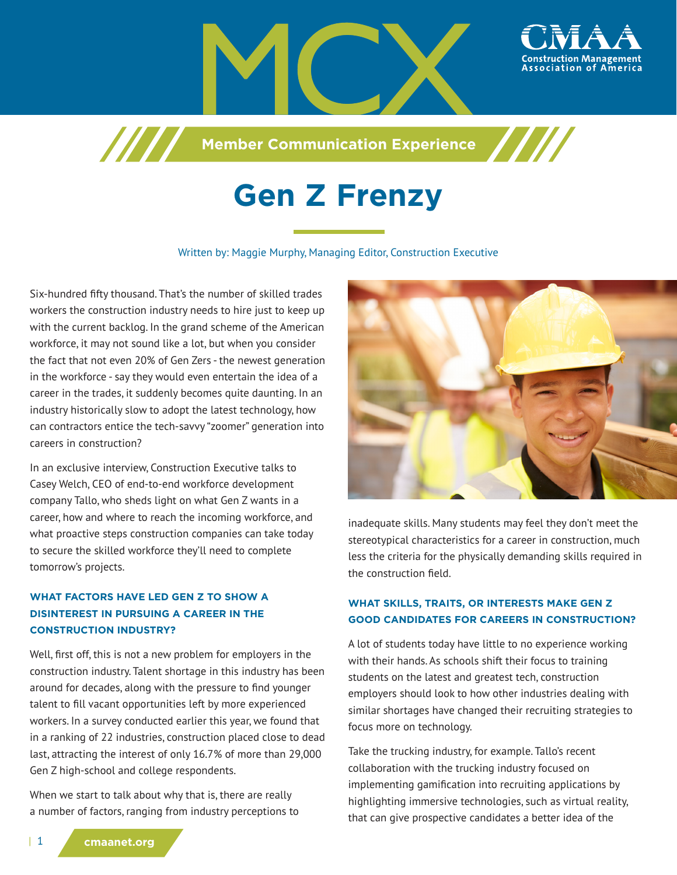

**Member Communication Experience** 

# **Gen Z Frenzy**

#### Written by: Maggie Murphy, Managing Editor, Construction Executive

Six-hundred fifty thousand. That's the number of skilled trades workers the construction industry needs to hire just to keep up with the current backlog. In the grand scheme of the American workforce, it may not sound like a lot, but when you consider the fact that not even 20% of Gen Zers - the newest generation in the workforce - say they would even entertain the idea of a career in the trades, it suddenly becomes quite daunting. In an industry historically slow to adopt the latest technology, how can contractors entice the tech-savvy "zoomer" generation into careers in construction?

/////

In an exclusive interview, Construction Executive talks to Casey Welch, CEO of end-to-end workforce development company Tallo, who sheds light on what Gen Z wants in a career, how and where to reach the incoming workforce, and what proactive steps construction companies can take today to secure the skilled workforce they'll need to complete tomorrow's projects.

## **WHAT FACTORS HAVE LED GEN Z TO SHOW A DISINTEREST IN PURSUING A CAREER IN THE CONSTRUCTION INDUSTRY?**

Well, first off, this is not a new problem for employers in the construction industry. Talent shortage in this industry has been around for decades, along with the pressure to find younger talent to fill vacant opportunities left by more experienced workers. In a survey conducted earlier this year, we found that in a ranking of 22 industries, construction placed close to dead last, attracting the interest of only 16.7% of more than 29,000 Gen Z high-school and college respondents.

When we start to talk about why that is, there are really a number of factors, ranging from industry perceptions to



inadequate skills. Many students may feel they don't meet the stereotypical characteristics for a career in construction, much less the criteria for the physically demanding skills required in the construction field.

#### **WHAT SKILLS, TRAITS, OR INTERESTS MAKE GEN Z GOOD CANDIDATES FOR CAREERS IN CONSTRUCTION?**

A lot of students today have little to no experience working with their hands. As schools shift their focus to training students on the latest and greatest tech, construction employers should look to how other industries dealing with similar shortages have changed their recruiting strategies to focus more on technology.

Take the trucking industry, for example. Tallo's recent collaboration with the trucking industry focused on implementing gamification into recruiting applications by highlighting immersive technologies, such as virtual reality, that can give prospective candidates a better idea of the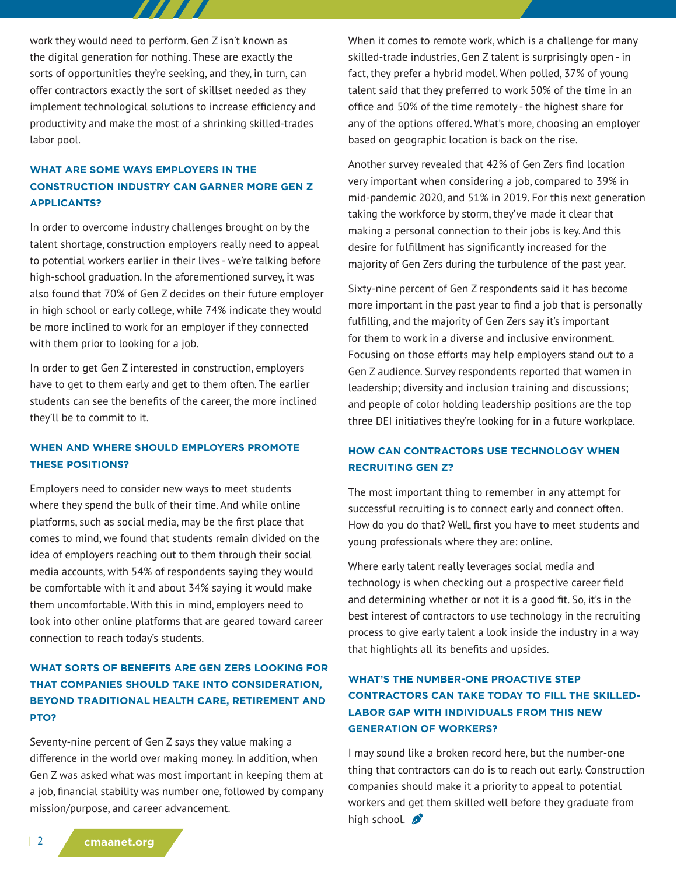work they would need to perform. Gen Z isn't known as the digital generation for nothing. These are exactly the sorts of opportunities they're seeking, and they, in turn, can offer contractors exactly the sort of skillset needed as they implement technological solutions to increase efficiency and productivity and make the most of a shrinking skilled-trades labor pool.

77 T. T.

# **WHAT ARE SOME WAYS EMPLOYERS IN THE CONSTRUCTION INDUSTRY CAN GARNER MORE GEN Z APPLICANTS?**

In order to overcome industry challenges brought on by the talent shortage, construction employers really need to appeal to potential workers earlier in their lives - we're talking before high-school graduation. In the aforementioned survey, it was also found that 70% of Gen Z decides on their future employer in high school or early college, while 74% indicate they would be more inclined to work for an employer if they connected with them prior to looking for a job.

In order to get Gen Z interested in construction, employers have to get to them early and get to them often. The earlier students can see the benefits of the career, the more inclined they'll be to commit to it.

#### **WHEN AND WHERE SHOULD EMPLOYERS PROMOTE THESE POSITIONS?**

Employers need to consider new ways to meet students where they spend the bulk of their time. And while online platforms, such as social media, may be the first place that comes to mind, we found that students remain divided on the idea of employers reaching out to them through their social media accounts, with 54% of respondents saying they would be comfortable with it and about 34% saying it would make them uncomfortable. With this in mind, employers need to look into other online platforms that are geared toward career connection to reach today's students.

# **WHAT SORTS OF BENEFITS ARE GEN ZERS LOOKING FOR THAT COMPANIES SHOULD TAKE INTO CONSIDERATION, BEYOND TRADITIONAL HEALTH CARE, RETIREMENT AND PTO?**

Seventy-nine percent of Gen Z says they value making a difference in the world over making money. In addition, when Gen Z was asked what was most important in keeping them at a job, financial stability was number one, followed by company mission/purpose, and career advancement.

When it comes to remote work, which is a challenge for many skilled-trade industries, Gen Z talent is surprisingly open - in fact, they prefer a hybrid model. When polled, 37% of young talent said that they preferred to work 50% of the time in an office and 50% of the time remotely - the highest share for any of the options offered. What's more, choosing an employer based on geographic location is back on the rise.

Another survey revealed that 42% of Gen Zers find location very important when considering a job, compared to 39% in mid-pandemic 2020, and 51% in 2019. For this next generation taking the workforce by storm, they've made it clear that making a personal connection to their jobs is key. And this desire for fulfillment has significantly increased for the majority of Gen Zers during the turbulence of the past year.

Sixty-nine percent of Gen Z respondents said it has become more important in the past year to find a job that is personally fulfilling, and the majority of Gen Zers say it's important for them to work in a diverse and inclusive environment. Focusing on those efforts may help employers stand out to a Gen Z audience. Survey respondents reported that women in leadership; diversity and inclusion training and discussions; and people of color holding leadership positions are the top three DEI initiatives they're looking for in a future workplace.

## **HOW CAN CONTRACTORS USE TECHNOLOGY WHEN RECRUITING GEN Z?**

The most important thing to remember in any attempt for successful recruiting is to connect early and connect often. How do you do that? Well, first you have to meet students and young professionals where they are: online.

Where early talent really leverages social media and technology is when checking out a prospective career field and determining whether or not it is a good fit. So, it's in the best interest of contractors to use technology in the recruiting process to give early talent a look inside the industry in a way that highlights all its benefits and upsides.

# **WHAT'S THE NUMBER-ONE PROACTIVE STEP CONTRACTORS CAN TAKE TODAY TO FILL THE SKILLED-LABOR GAP WITH INDIVIDUALS FROM THIS NEW GENERATION OF WORKERS?**

I may sound like a broken record here, but the number-one thing that contractors can do is to reach out early. Construction companies should make it a priority to appeal to potential workers and get them skilled well before they graduate from high school.  $\beta$